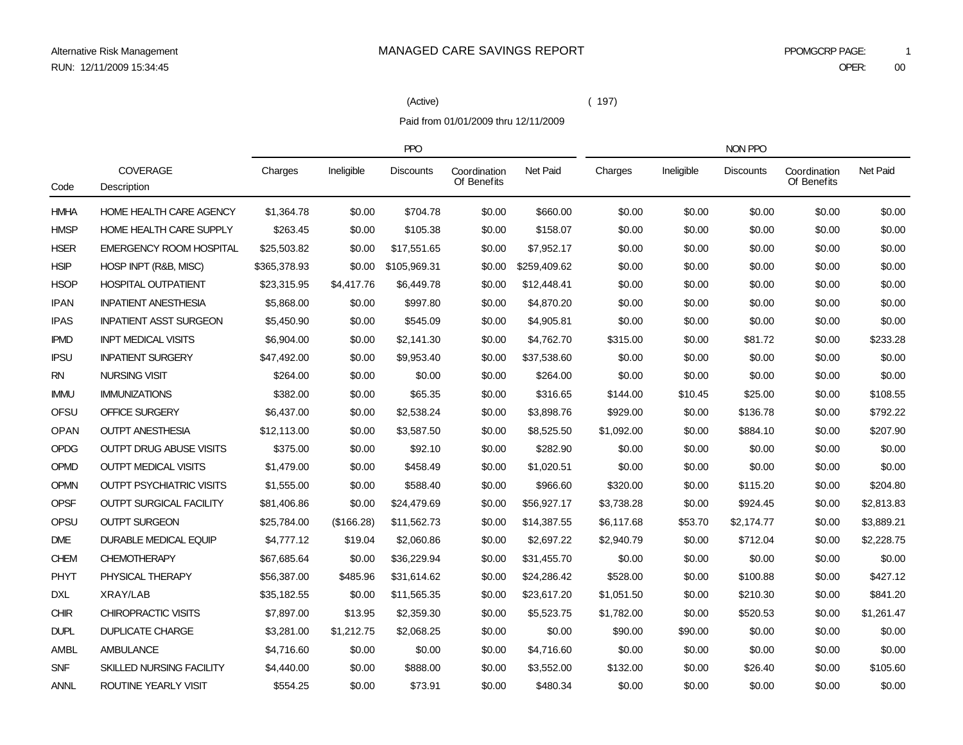(Active) ( 197)

Paid from 01/01/2009 thru 12/11/2009

|             |                                 |              |            | <b>PPO</b>       |                             |              |            | NON PPO    |                  |                             |                 |  |
|-------------|---------------------------------|--------------|------------|------------------|-----------------------------|--------------|------------|------------|------------------|-----------------------------|-----------------|--|
| Code        | <b>COVERAGE</b><br>Description  | Charges      | Ineligible | <b>Discounts</b> | Coordination<br>Of Benefits | Net Paid     | Charges    | Ineligible | <b>Discounts</b> | Coordination<br>Of Benefits | <b>Net Paid</b> |  |
| <b>HMHA</b> | <b>HOME HEALTH CARE AGENCY</b>  | \$1,364.78   | \$0.00     | \$704.78         | \$0.00                      | \$660.00     | \$0.00     | \$0.00     | \$0.00           | \$0.00                      | \$0.00          |  |
| <b>HMSP</b> | HOME HEALTH CARE SUPPLY         | \$263.45     | \$0.00     | \$105.38         | \$0.00                      | \$158.07     | \$0.00     | \$0.00     | \$0.00           | \$0.00                      | \$0.00          |  |
| <b>HSER</b> | <b>EMERGENCY ROOM HOSPITAL</b>  | \$25,503.82  | \$0.00     | \$17,551.65      | \$0.00                      | \$7,952.17   | \$0.00     | \$0.00     | \$0.00           | \$0.00                      | \$0.00          |  |
| <b>HSIP</b> | HOSP INPT (R&B, MISC)           | \$365,378.93 | \$0.00     | \$105,969.31     | \$0.00                      | \$259,409.62 | \$0.00     | \$0.00     | \$0.00           | \$0.00                      | \$0.00          |  |
| <b>HSOP</b> | <b>HOSPITAL OUTPATIENT</b>      | \$23,315.95  | \$4,417.76 | \$6,449.78       | \$0.00                      | \$12,448.41  | \$0.00     | \$0.00     | \$0.00           | \$0.00                      | \$0.00          |  |
| <b>IPAN</b> | <b>INPATIENT ANESTHESIA</b>     | \$5,868.00   | \$0.00     | \$997.80         | \$0.00                      | \$4,870.20   | \$0.00     | \$0.00     | \$0.00           | \$0.00                      | \$0.00          |  |
| <b>IPAS</b> | <b>INPATIENT ASST SURGEON</b>   | \$5,450.90   | \$0.00     | \$545.09         | \$0.00                      | \$4,905.81   | \$0.00     | \$0.00     | \$0.00           | \$0.00                      | \$0.00          |  |
| <b>IPMD</b> | <b>INPT MEDICAL VISITS</b>      | \$6,904.00   | \$0.00     | \$2,141.30       | \$0.00                      | \$4,762.70   | \$315.00   | \$0.00     | \$81.72          | \$0.00                      | \$233.28        |  |
| <b>IPSU</b> | <b>INPATIENT SURGERY</b>        | \$47,492.00  | \$0.00     | \$9,953.40       | \$0.00                      | \$37,538.60  | \$0.00     | \$0.00     | \$0.00           | \$0.00                      | \$0.00          |  |
| RN.         | <b>NURSING VISIT</b>            | \$264.00     | \$0.00     | \$0.00           | \$0.00                      | \$264.00     | \$0.00     | \$0.00     | \$0.00           | \$0.00                      | \$0.00          |  |
| <b>IMMU</b> | <b>IMMUNIZATIONS</b>            | \$382.00     | \$0.00     | \$65.35          | \$0.00                      | \$316.65     | \$144.00   | \$10.45    | \$25.00          | \$0.00                      | \$108.55        |  |
| OFSU        | OFFICE SURGERY                  | \$6,437.00   | \$0.00     | \$2,538.24       | \$0.00                      | \$3,898.76   | \$929.00   | \$0.00     | \$136.78         | \$0.00                      | \$792.22        |  |
| <b>OPAN</b> | <b>OUTPT ANESTHESIA</b>         | \$12,113.00  | \$0.00     | \$3,587.50       | \$0.00                      | \$8,525.50   | \$1,092.00 | \$0.00     | \$884.10         | \$0.00                      | \$207.90        |  |
| <b>OPDG</b> | <b>OUTPT DRUG ABUSE VISITS</b>  | \$375.00     | \$0.00     | \$92.10          | \$0.00                      | \$282.90     | \$0.00     | \$0.00     | \$0.00           | \$0.00                      | \$0.00          |  |
| <b>OPMD</b> | <b>OUTPT MEDICAL VISITS</b>     | \$1,479.00   | \$0.00     | \$458.49         | \$0.00                      | \$1,020.51   | \$0.00     | \$0.00     | \$0.00           | \$0.00                      | \$0.00          |  |
| <b>OPMN</b> | <b>OUTPT PSYCHIATRIC VISITS</b> | \$1,555.00   | \$0.00     | \$588.40         | \$0.00                      | \$966.60     | \$320.00   | \$0.00     | \$115.20         | \$0.00                      | \$204.80        |  |
| <b>OPSF</b> | <b>OUTPT SURGICAL FACILITY</b>  | \$81,406.86  | \$0.00     | \$24,479.69      | \$0.00                      | \$56,927.17  | \$3,738.28 | \$0.00     | \$924.45         | \$0.00                      | \$2,813.83      |  |
| OPSU        | <b>OUTPT SURGEON</b>            | \$25,784.00  | (\$166.28) | \$11,562.73      | \$0.00                      | \$14,387.55  | \$6,117.68 | \$53.70    | \$2,174.77       | \$0.00                      | \$3,889.21      |  |
| <b>DME</b>  | DURABLE MEDICAL EQUIP           | \$4,777.12   | \$19.04    | \$2,060.86       | \$0.00                      | \$2,697.22   | \$2,940.79 | \$0.00     | \$712.04         | \$0.00                      | \$2,228.75      |  |
| <b>CHEM</b> | <b>CHEMOTHERAPY</b>             | \$67,685.64  | \$0.00     | \$36,229.94      | \$0.00                      | \$31,455.70  | \$0.00     | \$0.00     | \$0.00           | \$0.00                      | \$0.00          |  |
| <b>PHYT</b> | PHYSICAL THERAPY                | \$56,387.00  | \$485.96   | \$31,614.62      | \$0.00                      | \$24,286.42  | \$528.00   | \$0.00     | \$100.88         | \$0.00                      | \$427.12        |  |
| <b>DXL</b>  | XRAY/LAB                        | \$35,182.55  | \$0.00     | \$11,565.35      | \$0.00                      | \$23,617.20  | \$1,051.50 | \$0.00     | \$210.30         | \$0.00                      | \$841.20        |  |
| <b>CHIR</b> | CHIROPRACTIC VISITS             | \$7,897.00   | \$13.95    | \$2,359.30       | \$0.00                      | \$5,523.75   | \$1,782.00 | \$0.00     | \$520.53         | \$0.00                      | \$1,261.47      |  |
| <b>DUPL</b> | <b>DUPLICATE CHARGE</b>         | \$3,281.00   | \$1,212.75 | \$2,068.25       | \$0.00                      | \$0.00       | \$90.00    | \$90.00    | \$0.00           | \$0.00                      | \$0.00          |  |
| <b>AMBL</b> | <b>AMBULANCE</b>                | \$4,716.60   | \$0.00     | \$0.00           | \$0.00                      | \$4,716.60   | \$0.00     | \$0.00     | \$0.00           | \$0.00                      | \$0.00          |  |
| <b>SNF</b>  | <b>SKILLED NURSING FACILITY</b> | \$4,440.00   | \$0.00     | \$888.00         | \$0.00                      | \$3,552.00   | \$132.00   | \$0.00     | \$26.40          | \$0.00                      | \$105.60        |  |
| <b>ANNL</b> | ROUTINE YEARLY VISIT            | \$554.25     | \$0.00     | \$73.91          | \$0.00                      | \$480.34     | \$0.00     | \$0.00     | \$0.00           | \$0.00                      | \$0.00          |  |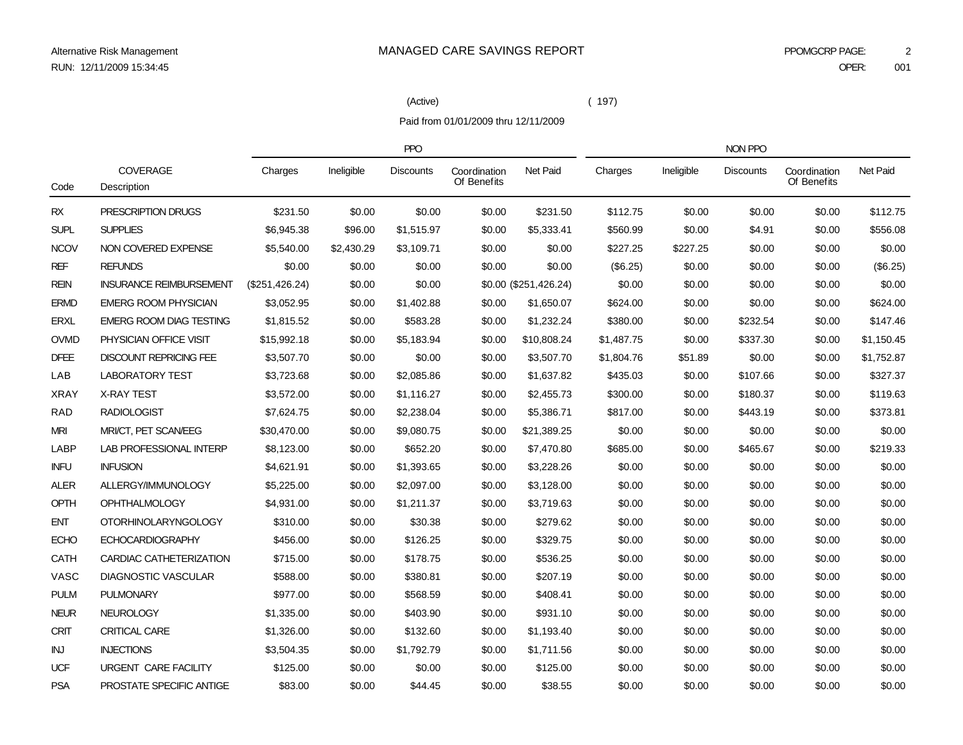(Active) ( 197)

Paid from 01/01/2009 thru 12/11/2009

|             |                                 |                |            | <b>PPO</b>       |                             |                       | NON PPO    |            |                  |                             |            |
|-------------|---------------------------------|----------------|------------|------------------|-----------------------------|-----------------------|------------|------------|------------------|-----------------------------|------------|
| Code        | COVERAGE<br>Description         | Charges        | Ineligible | <b>Discounts</b> | Coordination<br>Of Benefits | <b>Net Paid</b>       | Charges    | Ineligible | <b>Discounts</b> | Coordination<br>Of Benefits | Net Paid   |
| RX          | PRESCRIPTION DRUGS              | \$231.50       | \$0.00     | \$0.00           | \$0.00                      | \$231.50              | \$112.75   | \$0.00     | \$0.00           | \$0.00                      | \$112.75   |
| <b>SUPL</b> | <b>SUPPLIES</b>                 | \$6.945.38     | \$96.00    | \$1.515.97       | \$0.00                      | \$5,333.41            | \$560.99   | \$0.00     | \$4.91           | \$0.00                      | \$556.08   |
| <b>NCOV</b> | NON COVERED EXPENSE             | \$5.540.00     | \$2,430.29 | \$3.109.71       | \$0.00                      | \$0.00                | \$227.25   | \$227.25   | \$0.00           | \$0.00                      | \$0.00     |
| <b>REF</b>  | <b>REFUNDS</b>                  | \$0.00         | \$0.00     | \$0.00           | \$0.00                      | \$0.00                | (\$6.25)   | \$0.00     | \$0.00           | \$0.00                      | (\$6.25)   |
| <b>REIN</b> | <b>INSURANCE REIMBURSEMENT</b>  | (\$251,426.24) | \$0.00     | \$0.00           |                             | \$0.00 (\$251,426.24) | \$0.00     | \$0.00     | \$0.00           | \$0.00                      | \$0.00     |
| <b>ERMD</b> | <b>EMERG ROOM PHYSICIAN</b>     | \$3,052.95     | \$0.00     | \$1,402.88       | \$0.00                      | \$1,650.07            | \$624.00   | \$0.00     | \$0.00           | \$0.00                      | \$624.00   |
| <b>ERXL</b> | <b>EMERG ROOM DIAG TESTING</b>  | \$1,815.52     | \$0.00     | \$583.28         | \$0.00                      | \$1,232.24            | \$380.00   | \$0.00     | \$232.54         | \$0.00                      | \$147.46   |
| <b>OVMD</b> | PHYSICIAN OFFICE VISIT          | \$15,992.18    | \$0.00     | \$5,183.94       | \$0.00                      | \$10,808.24           | \$1,487.75 | \$0.00     | \$337.30         | \$0.00                      | \$1,150.45 |
| <b>DFEE</b> | <b>DISCOUNT REPRICING FEE</b>   | \$3,507.70     | \$0.00     | \$0.00           | \$0.00                      | \$3,507.70            | \$1,804.76 | \$51.89    | \$0.00           | \$0.00                      | \$1,752.87 |
| LAB         | <b>LABORATORY TEST</b>          | \$3,723.68     | \$0.00     | \$2,085.86       | \$0.00                      | \$1,637.82            | \$435.03   | \$0.00     | \$107.66         | \$0.00                      | \$327.37   |
| <b>XRAY</b> | <b>X-RAY TEST</b>               | \$3,572.00     | \$0.00     | \$1,116.27       | \$0.00                      | \$2,455.73            | \$300.00   | \$0.00     | \$180.37         | \$0.00                      | \$119.63   |
| <b>RAD</b>  | <b>RADIOLOGIST</b>              | \$7,624.75     | \$0.00     | \$2,238.04       | \$0.00                      | \$5,386.71            | \$817.00   | \$0.00     | \$443.19         | \$0.00                      | \$373.81   |
| <b>MRI</b>  | MRI/CT, PET SCAN/EEG            | \$30,470.00    | \$0.00     | \$9,080.75       | \$0.00                      | \$21,389.25           | \$0.00     | \$0.00     | \$0.00           | \$0.00                      | \$0.00     |
| <b>LABP</b> | <b>LAB PROFESSIONAL INTERP</b>  | \$8,123.00     | \$0.00     | \$652.20         | \$0.00                      | \$7,470.80            | \$685.00   | \$0.00     | \$465.67         | \$0.00                      | \$219.33   |
| <b>INFU</b> | <b>INFUSION</b>                 | \$4,621.91     | \$0.00     | \$1,393.65       | \$0.00                      | \$3,228.26            | \$0.00     | \$0.00     | \$0.00           | \$0.00                      | \$0.00     |
| <b>ALER</b> | ALLERGY/IMMUNOLOGY              | \$5,225.00     | \$0.00     | \$2,097.00       | \$0.00                      | \$3,128.00            | \$0.00     | \$0.00     | \$0.00           | \$0.00                      | \$0.00     |
| <b>OPTH</b> | <b>OPHTHALMOLOGY</b>            | \$4,931.00     | \$0.00     | \$1,211.37       | \$0.00                      | \$3,719.63            | \$0.00     | \$0.00     | \$0.00           | \$0.00                      | \$0.00     |
| <b>ENT</b>  | <b>OTORHINOLARYNGOLOGY</b>      | \$310.00       | \$0.00     | \$30.38          | \$0.00                      | \$279.62              | \$0.00     | \$0.00     | \$0.00           | \$0.00                      | \$0.00     |
| <b>ECHO</b> | <b>ECHOCARDIOGRAPHY</b>         | \$456.00       | \$0.00     | \$126.25         | \$0.00                      | \$329.75              | \$0.00     | \$0.00     | \$0.00           | \$0.00                      | \$0.00     |
| <b>CATH</b> | CARDIAC CATHETERIZATION         | \$715.00       | \$0.00     | \$178.75         | \$0.00                      | \$536.25              | \$0.00     | \$0.00     | \$0.00           | \$0.00                      | \$0.00     |
| <b>VASC</b> | <b>DIAGNOSTIC VASCULAR</b>      | \$588.00       | \$0.00     | \$380.81         | \$0.00                      | \$207.19              | \$0.00     | \$0.00     | \$0.00           | \$0.00                      | \$0.00     |
| <b>PULM</b> | <b>PULMONARY</b>                | \$977.00       | \$0.00     | \$568.59         | \$0.00                      | \$408.41              | \$0.00     | \$0.00     | \$0.00           | \$0.00                      | \$0.00     |
| <b>NEUR</b> | <b>NEUROLOGY</b>                | \$1,335.00     | \$0.00     | \$403.90         | \$0.00                      | \$931.10              | \$0.00     | \$0.00     | \$0.00           | \$0.00                      | \$0.00     |
| <b>CRIT</b> | <b>CRITICAL CARE</b>            | \$1,326.00     | \$0.00     | \$132.60         | \$0.00                      | \$1,193.40            | \$0.00     | \$0.00     | \$0.00           | \$0.00                      | \$0.00     |
| INJ         | <b>INJECTIONS</b>               | \$3,504.35     | \$0.00     | \$1,792.79       | \$0.00                      | \$1,711.56            | \$0.00     | \$0.00     | \$0.00           | \$0.00                      | \$0.00     |
| <b>UCF</b>  | <b>URGENT CARE FACILITY</b>     | \$125.00       | \$0.00     | \$0.00           | \$0.00                      | \$125.00              | \$0.00     | \$0.00     | \$0.00           | \$0.00                      | \$0.00     |
| <b>PSA</b>  | <b>PROSTATE SPECIFIC ANTIGE</b> | \$83.00        | \$0.00     | \$44.45          | \$0.00                      | \$38.55               | \$0.00     | \$0.00     | \$0.00           | \$0.00                      | \$0.00     |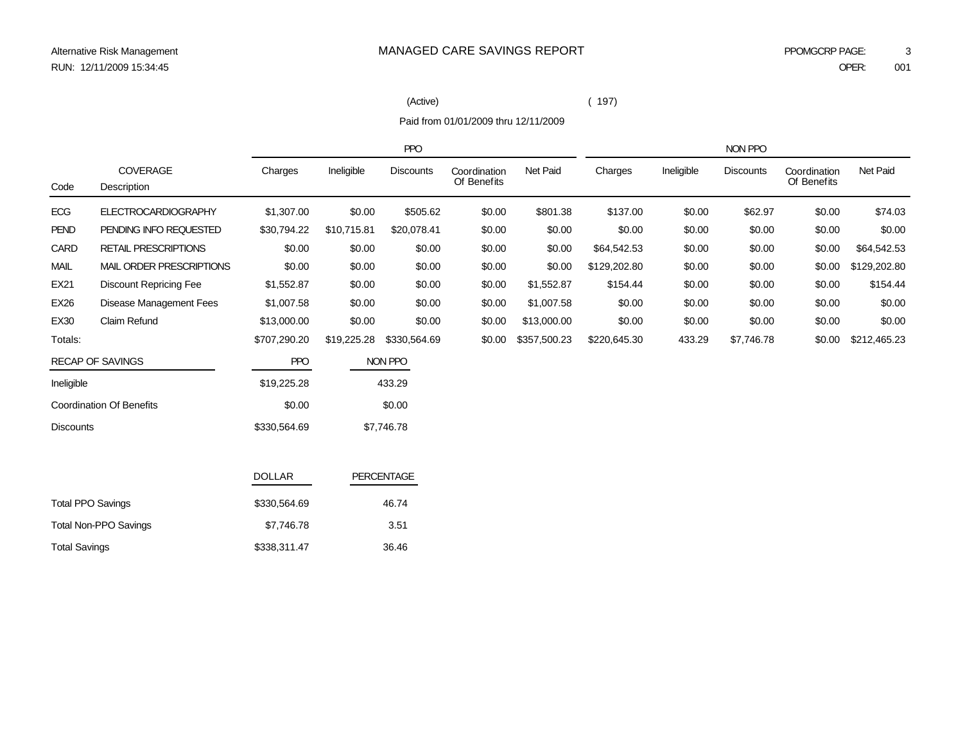(Active) ( 197)

Paid from 01/01/2009 thru 12/11/2009

|                                 |                                |               |             | PPO               |                             |              | NON PPO      |            |                  |                             |              |  |
|---------------------------------|--------------------------------|---------------|-------------|-------------------|-----------------------------|--------------|--------------|------------|------------------|-----------------------------|--------------|--|
| Code                            | <b>COVERAGE</b><br>Description | Charges       | Ineligible  | <b>Discounts</b>  | Coordination<br>Of Benefits | Net Paid     | Charges      | Ineligible | <b>Discounts</b> | Coordination<br>Of Benefits | Net Paid     |  |
| ECG                             | <b>ELECTROCARDIOGRAPHY</b>     | \$1,307.00    | \$0.00      | \$505.62          | \$0.00                      | \$801.38     | \$137.00     | \$0.00     | \$62.97          | \$0.00                      | \$74.03      |  |
| <b>PEND</b>                     | PENDING INFO REQUESTED         | \$30,794.22   | \$10,715.81 | \$20,078.41       | \$0.00                      | \$0.00       | \$0.00       | \$0.00     | \$0.00           | \$0.00                      | \$0.00       |  |
| CARD                            | <b>RETAIL PRESCRIPTIONS</b>    | \$0.00        | \$0.00      | \$0.00            | \$0.00                      | \$0.00       | \$64,542.53  | \$0.00     | \$0.00           | \$0.00                      | \$64,542.53  |  |
| <b>MAIL</b>                     | MAIL ORDER PRESCRIPTIONS       | \$0.00        | \$0.00      | \$0.00            | \$0.00                      | \$0.00       | \$129,202.80 | \$0.00     | \$0.00           | \$0.00                      | \$129,202.80 |  |
| EX21                            | <b>Discount Repricing Fee</b>  | \$1,552.87    | \$0.00      | \$0.00            | \$0.00                      | \$1,552.87   | \$154.44     | \$0.00     | \$0.00           | \$0.00                      | \$154.44     |  |
| <b>EX26</b>                     | <b>Disease Management Fees</b> | \$1,007.58    | \$0.00      | \$0.00            | \$0.00                      | \$1,007.58   | \$0.00       | \$0.00     | \$0.00           | \$0.00                      | \$0.00       |  |
| EX30                            | <b>Claim Refund</b>            | \$13,000.00   | \$0.00      | \$0.00            | \$0.00                      | \$13,000.00  | \$0.00       | \$0.00     | \$0.00           | \$0.00                      | \$0.00       |  |
| Totals:                         |                                | \$707,290.20  | \$19,225.28 | \$330,564.69      | \$0.00                      | \$357,500.23 | \$220,645.30 | 433.29     | \$7,746.78       | \$0.00                      | \$212,465.23 |  |
| <b>RECAP OF SAVINGS</b>         |                                | PPO           |             | NON PPO           |                             |              |              |            |                  |                             |              |  |
| Ineligible                      |                                | \$19,225.28   |             | 433.29            |                             |              |              |            |                  |                             |              |  |
| <b>Coordination Of Benefits</b> |                                | \$0.00        |             | \$0.00            |                             |              |              |            |                  |                             |              |  |
| <b>Discounts</b>                |                                | \$330,564.69  |             | \$7,746.78        |                             |              |              |            |                  |                             |              |  |
|                                 |                                | <b>DOLLAR</b> |             | <b>PERCENTAGE</b> |                             |              |              |            |                  |                             |              |  |
| <b>Total PPO Savings</b>        |                                | \$330,564.69  |             | 46.74             |                             |              |              |            |                  |                             |              |  |
| <b>Total Non-PPO Savings</b>    |                                | \$7,746.78    |             | 3.51              |                             |              |              |            |                  |                             |              |  |
| <b>Total Savings</b>            |                                | \$338,311.47  |             | 36.46             |                             |              |              |            |                  |                             |              |  |